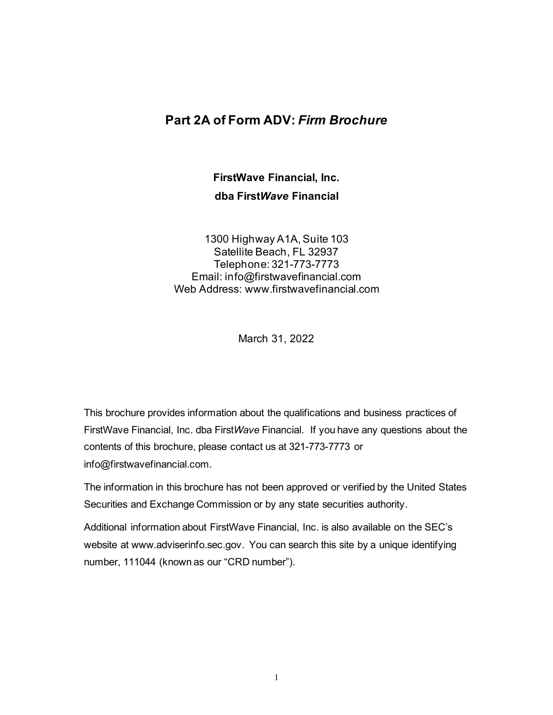## **Part 2A of Form ADV:** *Firm Brochure*

**FirstWave Financial, Inc. dba First***Wave* **Financial**

1300 Highway A1A, Suite 103 Satellite Beach, FL 32937 Telephone: 321-773-7773 Email: info@firstwavefinancial.com Web Address: www.firstwavefinancial.com

March 31, 2022

This brochure provides information about the qualifications and business practices of FirstWave Financial, Inc. dba First*Wave* Financial. If you have any questions about the contents of this brochure, please contact us at 321-773-7773 or info@firstwavefinancial.com.

The information in this brochure has not been approved or verified by the United States Securities and Exchange Commission or by any state securities authority.

Additional information about FirstWave Financial, Inc. is also available on the SEC's website at www.adviserinfo.sec.gov. You can search this site by a unique identifying number, 111044 (known as our "CRD number").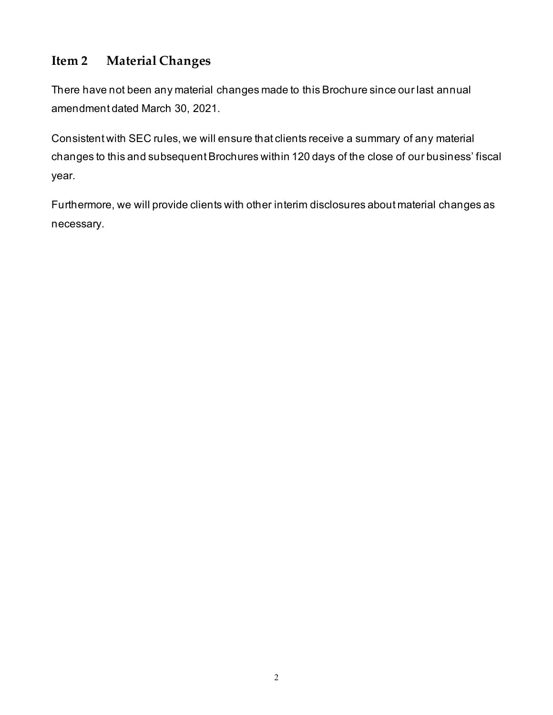# **Item 2 Material Changes**

There have not been any material changes made to this Brochure since our last annual amendment dated March 30, 2021.

Consistent with SEC rules, we will ensure that clients receive a summary of any material changes to this and subsequent Brochures within 120 days of the close of our business' fiscal year.

Furthermore, we will provide clients with other interim disclosures about material changes as necessary.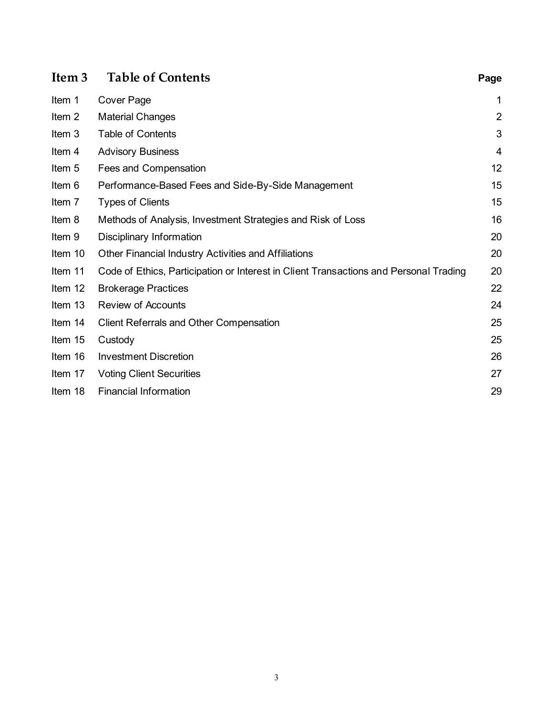| Item <sub>3</sub> | <b>Table of Contents</b>                                                              | Page           |
|-------------------|---------------------------------------------------------------------------------------|----------------|
| Item 1            | Cover Page                                                                            | 1              |
| Item 2            | <b>Material Changes</b>                                                               | $\overline{2}$ |
| Item 3            | <b>Table of Contents</b>                                                              | 3              |
| Item 4            | <b>Advisory Business</b>                                                              | 4              |
| Item 5            | Fees and Compensation                                                                 | 12             |
| Item 6            | Performance-Based Fees and Side-By-Side Management                                    | 15             |
| Item 7            | <b>Types of Clients</b>                                                               | 15             |
| Item 8            | Methods of Analysis, Investment Strategies and Risk of Loss                           | 16             |
| Item 9            | Disciplinary Information                                                              | 20             |
| Item 10           | Other Financial Industry Activities and Affiliations                                  | 20             |
| Item 11           | Code of Ethics, Participation or Interest in Client Transactions and Personal Trading | 20             |
| Item 12           | <b>Brokerage Practices</b>                                                            | 22             |
| Item 13           | <b>Review of Accounts</b>                                                             | 24             |
| Item 14           | <b>Client Referrals and Other Compensation</b>                                        | 25             |
| Item 15           | Custody                                                                               | 25             |
| Item 16           | <b>Investment Discretion</b>                                                          | 26             |
| Item 17           | <b>Voting Client Securities</b>                                                       | 27             |
| Item 18           | <b>Financial Information</b>                                                          | 29             |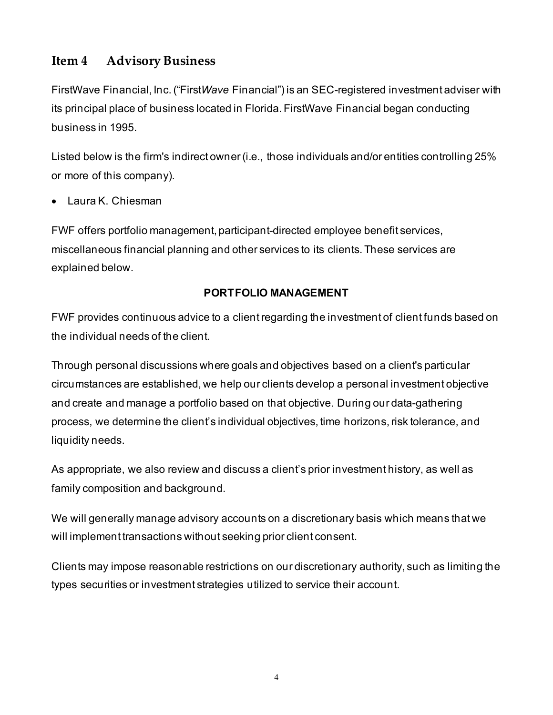## **Item 4 Advisory Business**

FirstWave Financial, Inc. ("First*Wave* Financial") is an SEC-registered investment adviser with its principal place of business located in Florida. FirstWave Financial began conducting business in 1995.

Listed below is the firm's indirect owner (i.e., those individuals and/or entities controlling 25% or more of this company).

• Laura K. Chiesman

FWF offers portfolio management, participant-directed employee benefit services, miscellaneous financial planning and other services to its clients. These services are explained below.

#### **PORTFOLIO MANAGEMENT**

FWF provides continuous advice to a client regarding the investment of client funds based on the individual needs of the client.

Through personal discussions where goals and objectives based on a client's particular circumstances are established, we help our clients develop a personal investment objective and create and manage a portfolio based on that objective. During our data-gathering process, we determine the client's individual objectives, time horizons, risk tolerance, and liquidity needs.

As appropriate, we also review and discuss a client's prior investment history, as well as family composition and background.

We will generally manage advisory accounts on a discretionary basis which means that we will implement transactions without seeking prior client consent.

Clients may impose reasonable restrictions on our discretionary authority, such as limiting the types securities or investment strategies utilized to service their account.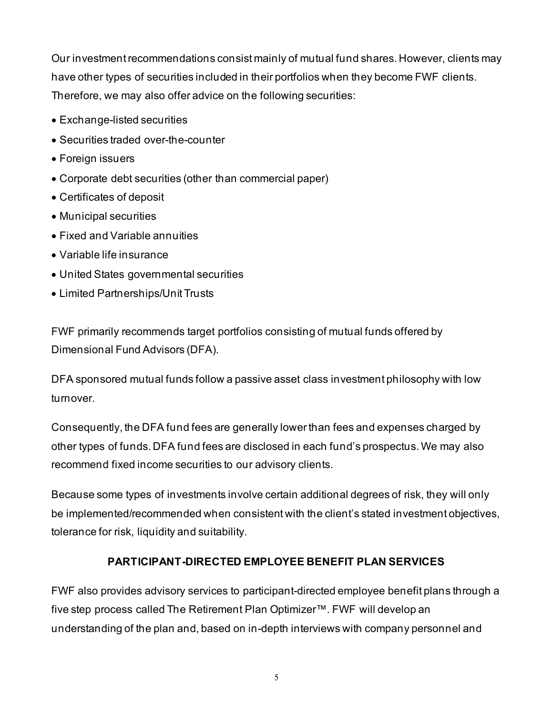Our investment recommendations consist mainly of mutual fund shares. However, clients may have other types of securities included in their portfolios when they become FWF clients. Therefore, we may also offer advice on the following securities:

- Exchange-listed securities
- Securities traded over-the-counter
- Foreign issuers
- Corporate debt securities (other than commercial paper)
- Certificates of deposit
- Municipal securities
- Fixed and Variable annuities
- Variable life insurance
- United States governmental securities
- Limited Partnerships/Unit Trusts

FWF primarily recommends target portfolios consisting of mutual funds offered by Dimensional Fund Advisors (DFA).

DFA sponsored mutual funds follow a passive asset class investment philosophy with low turnover.

Consequently, the DFA fund fees are generally lower than fees and expenses charged by other types of funds. DFA fund fees are disclosed in each fund's prospectus. We may also recommend fixed income securities to our advisory clients.

Because some types of investments involve certain additional degrees of risk, they will only be implemented/recommended when consistent with the client's stated investment objectives, tolerance for risk, liquidity and suitability.

## **PARTICIPANT-DIRECTED EMPLOYEE BENEFIT PLAN SERVICES**

FWF also provides advisory services to participant-directed employee benefit plans through a five step process called The Retirement Plan Optimizer™. FWF will develop an understanding of the plan and, based on in-depth interviews with company personnel and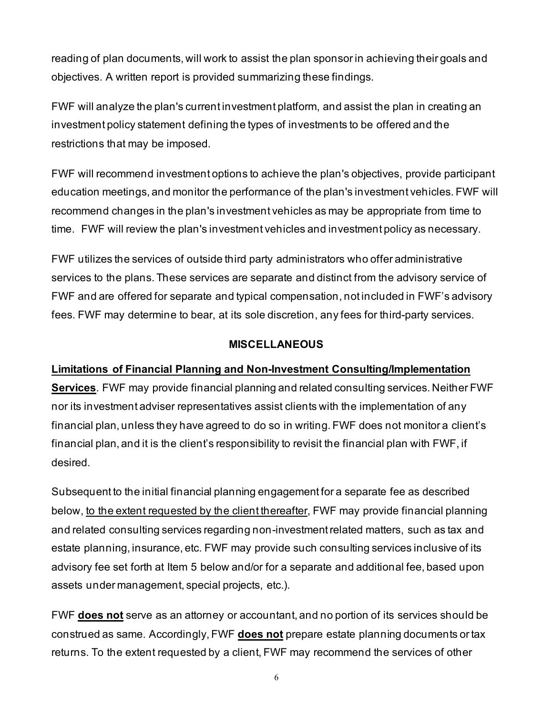reading of plan documents, will work to assist the plan sponsor in achieving their goals and objectives. A written report is provided summarizing these findings.

FWF will analyze the plan's current investment platform, and assist the plan in creating an investment policy statement defining the types of investments to be offered and the restrictions that may be imposed.

FWF will recommend investment options to achieve the plan's objectives, provide participant education meetings, and monitor the performance of the plan's investment vehicles. FWF will recommend changes in the plan's investment vehicles as may be appropriate from time to time. FWF will review the plan's investment vehicles and investment policy as necessary.

FWF utilizes the services of outside third party administrators who offer administrative services to the plans. These services are separate and distinct from the advisory service of FWF and are offered for separate and typical compensation, not included in FWF's advisory fees. FWF may determine to bear, at its sole discretion, any fees for third-party services.

#### **MISCELLANEOUS**

#### **Limitations of Financial Planning and Non-Investment Consulting/Implementation**

**Services**. FWF may provide financial planning and related consulting services. Neither FWF nor its investment adviser representatives assist clients with the implementation of any financial plan, unless they have agreed to do so in writing. FWF does not monitor a client's financial plan, and it is the client's responsibility to revisit the financial plan with FWF, if desired.

Subsequent to the initial financial planning engagement for a separate fee as described below, to the extent requested by the client thereafter, FWF may provide financial planning and related consulting services regarding non-investment related matters, such as tax and estate planning, insurance, etc. FWF may provide such consulting services inclusive of its advisory fee set forth at Item 5 below and/or for a separate and additional fee, based upon assets under management, special projects, etc.).

FWF **does not** serve as an attorney or accountant, and no portion of its services should be construed as same. Accordingly, FWF **does not** prepare estate planning documents or tax returns. To the extent requested by a client, FWF may recommend the services of other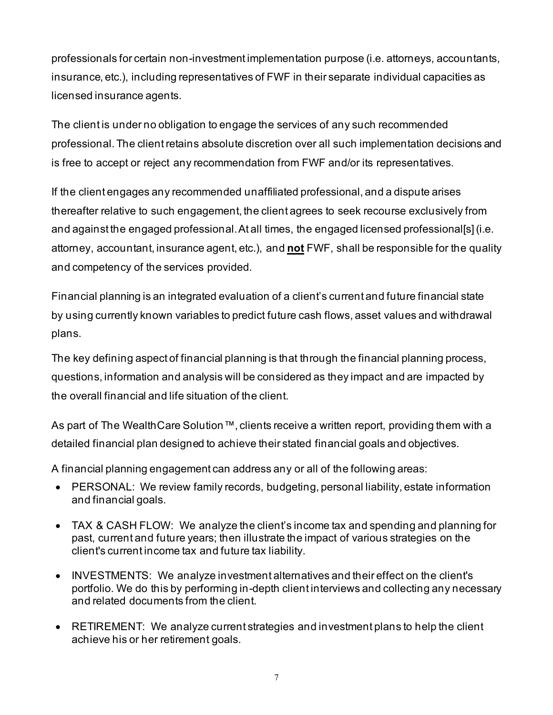professionals for certain non-investment implementation purpose (i.e. attorneys, accountants, insurance, etc.), including representatives of FWF in their separate individual capacities as licensed insurance agents.

The client is under no obligation to engage the services of any such recommended professional. The client retains absolute discretion over all such implementation decisions and is free to accept or reject any recommendation from FWF and/or its representatives.

If the client engages any recommended unaffiliated professional, and a dispute arises thereafter relative to such engagement, the client agrees to seek recourse exclusively from and against the engaged professional.At all times, the engaged licensed professional[s] (i.e. attorney, accountant, insurance agent, etc.), and **not** FWF, shall be responsible for the quality and competency of the services provided.

Financial planning is an integrated evaluation of a client's current and future financial state by using currently known variables to predict futur[e cash](http://www.investopedia.com/terms/f/financial_plan.asp##) flows, asset values and withdrawal plans.

The key defining aspect of financial planning is that through the financial planning process, questions, information and analysis will be considered as they impact and are impacted by the overall financial and life situation of the client.

As part of The Wealth Care Solution ™, clients receive a written report, providing them with a detailed financial plan designed to achieve their stated financial goals and objectives.

A financial planning engagement can address any or all of the following areas:

- PERSONAL: We review family records, budgeting, personal liability, estate information and financial goals.
- TAX & CASH FLOW: We analyze the client's income tax and spending and planning for past, current and future years; then illustrate the impact of various strategies on the client's current income tax and future tax liability.
- INVESTMENTS: We analyze investment alternatives and their effect on the client's portfolio. We do this by performing in-depth client interviews and collecting any necessary and related documents from the client.
- RETIREMENT: We analyze current strategies and investment plans to help the client achieve his or her retirement goals.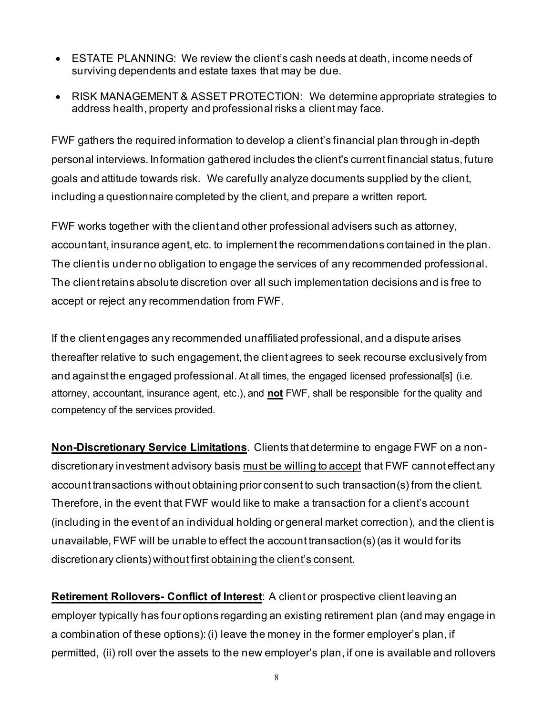- ESTATE PLANNING: We review the client's cash needs at death, income needs of surviving dependents and estate taxes that may be due.
- RISK MANAGEMENT & ASSET PROTECTION: We determine appropriate strategies to address health, property and professional risks a client may face.

FWF gathers the required information to develop a client's financial plan through in-depth personal interviews. Information gathered includes the client's current financial status, future goals and attitude towards risk. We carefully analyze documents supplied by the client, including a questionnaire completed by the client, and prepare a written report.

FWF works together with the client and other professional advisers such as attorney, accountant, insurance agent, etc. to implement the recommendations contained in the plan. The client is under no obligation to engage the services of any recommended professional. The client retains absolute discretion over all such implementation decisions and is free to accept or reject any recommendation from FWF.

If the client engages any recommended unaffiliated professional, and a dispute arises thereafter relative to such engagement, the client agrees to seek recourse exclusively from and against the engaged professional. At all times, the engaged licensed professional[s] (i.e. attorney, accountant, insurance agent, etc.), and **not** FWF, shall be responsible for the quality and competency of the services provided.

**Non-Discretionary Service Limitations**. Clients that determine to engage FWF on a nondiscretionary investment advisory basis must be willing to accept that FWF cannot effect any account transactions without obtaining prior consent to such transaction(s) from the client. Therefore, in the event that FWF would like to make a transaction for a client's account (including in the event of an individual holding or general market correction), and the client is unavailable, FWF will be unable to effect the account transaction(s) (as it would for its discretionary clients) without first obtaining the client's consent.

**Retirement Rollovers- Conflict of Interest**: A client or prospective client leaving an employer typically has four options regarding an existing retirement plan (and may engage in a combination of these options): (i) leave the money in the former employer's plan, if permitted, (ii) roll over the assets to the new employer's plan, if one is available and rollovers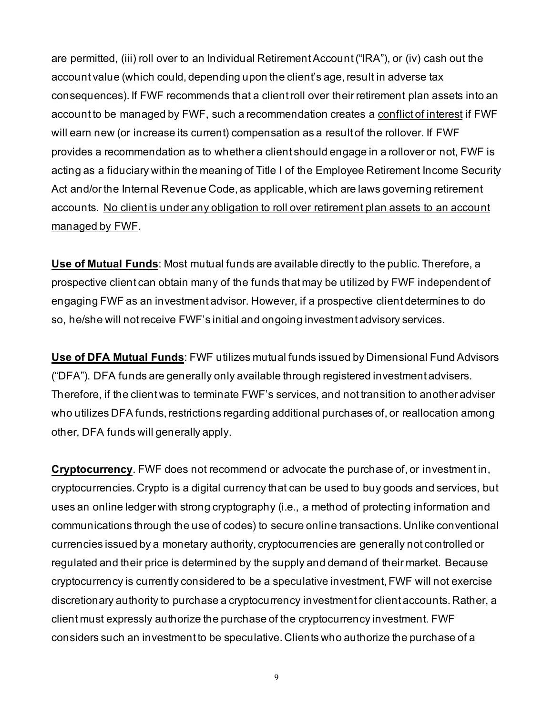are permitted, (iii) roll over to an Individual Retirement Account ("IRA"), or (iv) cash out the account value (which could, depending upon the client's age, result in adverse tax consequences). If FWF recommends that a client roll over their retirement plan assets into an account to be managed by FWF, such a recommendation creates a conflict of interest if FWF will earn new (or increase its current) compensation as a result of the rollover. If FWF provides a recommendation as to whether a client should engage in a rollover or not, FWF is acting as a fiduciary within the meaning of Title I of the Employee Retirement Income Security Act and/or the Internal Revenue Code, as applicable, which are laws governing retirement accounts. No client is under any obligation to roll over retirement plan assets to an account managed by FWF.

**Use of Mutual Funds**: Most mutual funds are available directly to the public. Therefore, a prospective client can obtain many of the funds that may be utilized by FWF independent of engaging FWF as an investment advisor. However, if a prospective client determines to do so, he/she will not receive FWF's initial and ongoing investment advisory services.

**Use of DFA Mutual Funds**: FWF utilizes mutual funds issued by Dimensional Fund Advisors ("DFA"). DFA funds are generally only available through registered investment advisers. Therefore, if the client was to terminate FWF's services, and not transition to another adviser who utilizes DFA funds, restrictions regarding additional purchases of, or reallocation among other, DFA funds will generally apply.

**Cryptocurrency**. FWF does not recommend or advocate the purchase of, or investment in, cryptocurrencies. Crypto is a digital currency that can be used to buy goods and services, but uses an online ledger with strong cryptography (i.e., a method of protecting information and communications through the use of codes) to secure online transactions. Unlike conventional currencies issued by a monetary authority, cryptocurrencies are generally not controlled or regulated and their price is determined by the supply and demand of their market. Because cryptocurrency is currently considered to be a speculative investment, FWF will not exercise discretionary authority to purchase a cryptocurrency investment for client accounts. Rather, a client must expressly authorize the purchase of the cryptocurrency investment. FWF considers such an investment to be speculative. Clients who authorize the purchase of a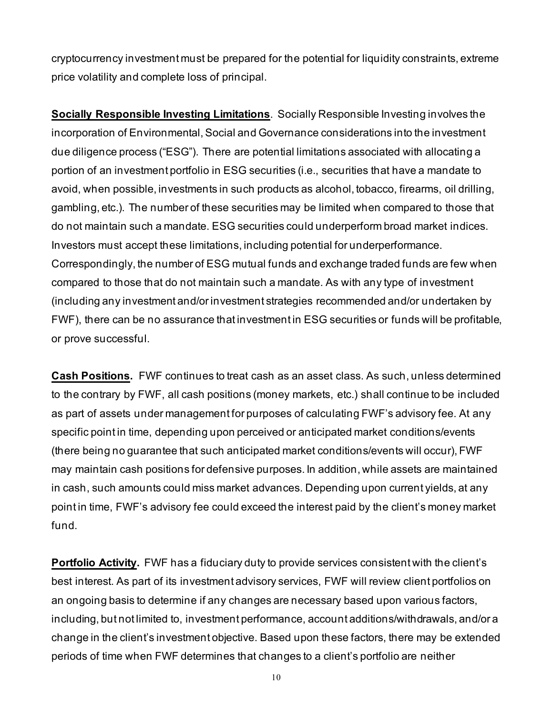cryptocurrency investment must be prepared for the potential for liquidity constraints, extreme price volatility and complete loss of principal.

**Socially Responsible Investing Limitations**. Socially Responsible Investing involves the incorporation of Environmental, Social and Governance considerations into the investment due diligence process ("ESG"). There are potential limitations associated with allocating a portion of an investment portfolio in ESG securities (i.e., securities that have a mandate to avoid, when possible, investments in such products as alcohol, tobacco, firearms, oil drilling, gambling, etc.). The number of these securities may be limited when compared to those that do not maintain such a mandate. ESG securities could underperform broad market indices. Investors must accept these limitations, including potential for underperformance. Correspondingly, the number of ESG mutual funds and exchange traded funds are few when compared to those that do not maintain such a mandate. As with any type of investment (including any investment and/or investment strategies recommended and/or undertaken by FWF), there can be no assurance that investment in ESG securities or funds will be profitable, or prove successful.

**Cash Positions.** FWF continues to treat cash as an asset class. As such, unless determined to the contrary by FWF, all cash positions (money markets, etc.) shall continue to be included as part of assets under management for purposes of calculating FWF's advisory fee. At any specific point in time, depending upon perceived or anticipated market conditions/events (there being no guarantee that such anticipated market conditions/events will occur), FWF may maintain cash positions for defensive purposes. In addition, while assets are maintained in cash, such amounts could miss market advances. Depending upon current yields, at any point in time, FWF's advisory fee could exceed the interest paid by the client's money market fund.

**Portfolio Activity.** FWF has a fiduciary duty to provide services consistent with the client's best interest. As part of its investment advisory services, FWF will review client portfolios on an ongoing basis to determine if any changes are necessary based upon various factors, including, but not limited to, investment performance, account additions/withdrawals, and/or a change in the client's investment objective. Based upon these factors, there may be extended periods of time when FWF determines that changes to a client's portfolio are neither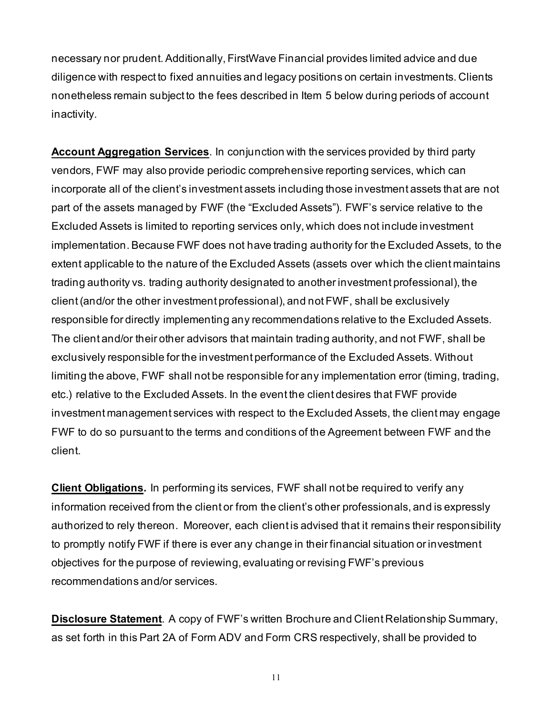necessary nor prudent. Additionally, FirstWave Financial provides limited advice and due diligence with respect to fixed annuities and legacy positions on certain investments. Clients nonetheless remain subject to the fees described in Item 5 below during periods of account inactivity.

**Account Aggregation Services**. In conjunction with the services provided by third party vendors, FWF may also provide periodic comprehensive reporting services, which can incorporate all of the client's investment assets including those investment assets that are not part of the assets managed by FWF (the "Excluded Assets"). FWF's service relative to the Excluded Assets is limited to reporting services only, which does not include investment implementation. Because FWF does not have trading authority for the Excluded Assets, to the extent applicable to the nature of the Excluded Assets (assets over which the client maintains trading authority vs. trading authority designated to another investment professional), the client (and/or the other investment professional), and not FWF, shall be exclusively responsible for directly implementing any recommendations relative to the Excluded Assets. The client and/or their other advisors that maintain trading authority, and not FWF, shall be exclusively responsible for the investment performance of the Excluded Assets. Without limiting the above, FWF shall not be responsible for any implementation error (timing, trading, etc.) relative to the Excluded Assets. In the event the client desires that FWF provide investment management services with respect to the Excluded Assets, the client may engage FWF to do so pursuant to the terms and conditions of the Agreement between FWF and the client.

**Client Obligations.** In performing its services, FWF shall not be required to verify any information received from the client or from the client's other professionals, and is expressly authorized to rely thereon. Moreover, each client is advised that it remains their responsibility to promptly notify FWF if there is ever any change in their financial situation or investment objectives for the purpose of reviewing, evaluating or revising FWF's previous recommendations and/or services.

**Disclosure Statement**. A copy of FWF's written Brochure and Client Relationship Summary, as set forth in this Part 2A of Form ADV and Form CRS respectively, shall be provided to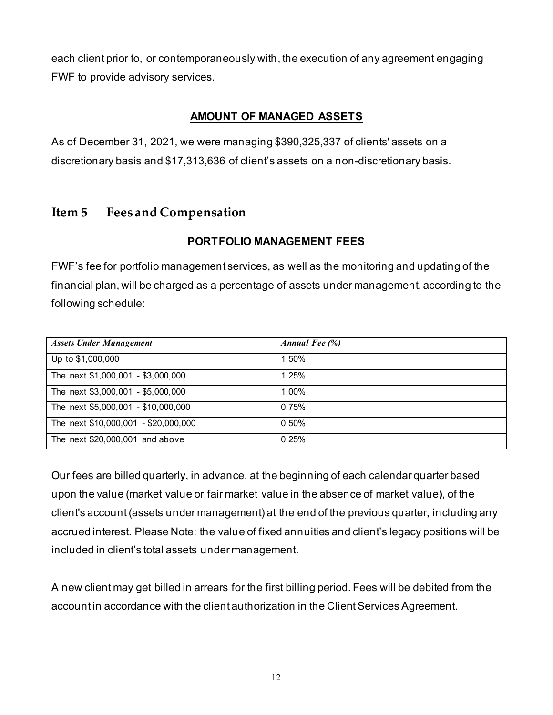each client prior to, or contemporaneously with, the execution of any agreement engaging FWF to provide advisory services.

### **AMOUNT OF MANAGED ASSETS**

As of December 31, 2021, we were managing \$390,325,337 of clients' assets on a discretionary basis and \$17,313,636 of client's assets on a non-discretionary basis.

## **Item 5 Fees and Compensation**

#### **PORTFOLIO MANAGEMENT FEES**

FWF's fee for portfolio management services, as well as the monitoring and updating of the financial plan, will be charged as a percentage of assets under management, according to the following schedule:

| <b>Assets Under Management</b>       | Annual Fee $(\%)$ |
|--------------------------------------|-------------------|
| Up to \$1,000,000                    | 1.50%             |
| The next \$1,000,001 - \$3,000,000   | 1.25%             |
| The next \$3,000,001 - \$5,000,000   | 1.00%             |
| The next \$5,000,001 - \$10,000,000  | 0.75%             |
| The next \$10,000,001 - \$20,000,000 | 0.50%             |
| The next \$20,000,001 and above      | 0.25%             |

Our fees are billed quarterly, in advance, at the beginning of each calendar quarter based upon the value (market value or fair market value in the absence of market value), of the client's account(assets under management) at the end of the previous quarter, including any accrued interest. Please Note: the value of fixed annuities and client's legacy positions will be included in client's total assets under management.

A new client may get billed in arrears for the first billing period. Fees will be debited from the account in accordance with the client authorization in the Client Services Agreement.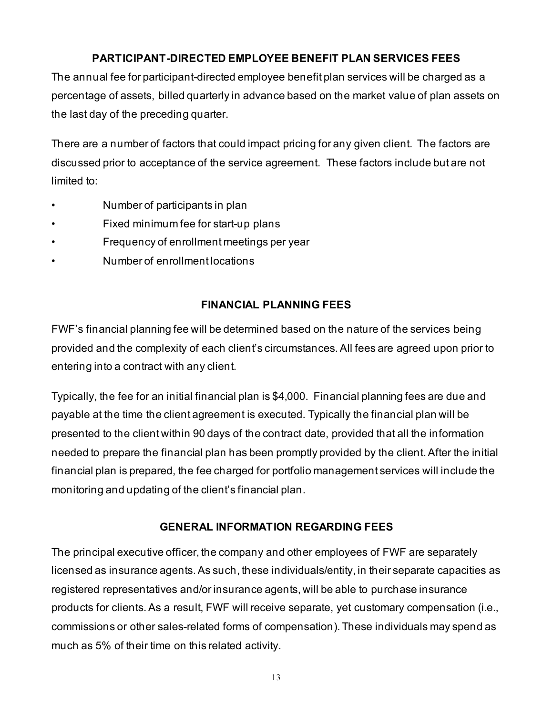## **PARTICIPANT-DIRECTED EMPLOYEE BENEFIT PLAN SERVICES FEES**

The annual fee for participant-directed employee benefit plan services will be charged as a percentage of assets, billed quarterly in advance based on the market value of plan assets on the last day of the preceding quarter.

There are a number of factors that could impact pricing for any given client. The factors are discussed prior to acceptance of the service agreement. These factors include but are not limited to:

- Number of participants in plan
- Fixed minimum fee for start-up plans
- Frequency of enrollment meetings per year
- Number of enrollment locations

## **FINANCIAL PLANNING FEES**

FWF's financial planning fee will be determined based on the nature of the services being provided and the complexity of each client's circumstances. All fees are agreed upon prior to entering into a contract with any client.

Typically, the fee for an initial financial plan is \$4,000. Financial planning fees are due and payable at the time the client agreement is executed. Typically the financial plan will be presented to the client within 90 days of the contract date, provided that all the information needed to prepare the financial plan has been promptly provided by the client. After the initial financial plan is prepared, the fee charged for portfolio management services will include the monitoring and updating of the client's financial plan.

#### **GENERAL INFORMATION REGARDING FEES**

The principal executive officer, the company and other employees of FWF are separately licensed as insurance agents. As such, these individuals/entity, in their separate capacities as registered representatives and/or insurance agents, will be able to purchase insurance products for clients.As a result, FWF will receive separate, yet customary compensation (i.e., commissions or other sales-related forms of compensation). These individuals may spend as much as 5% of their time on this related activity.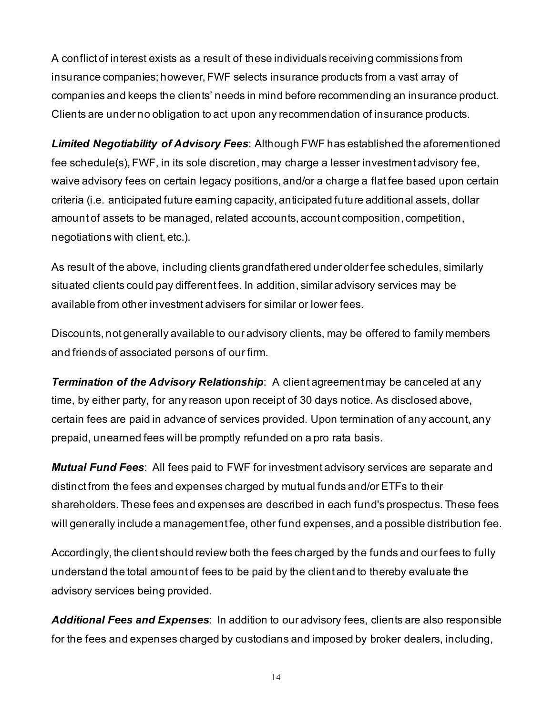A conflict of interest exists as a result of these individuals receiving commissions from insurance companies; however, FWF selects insurance products from a vast array of companies and keeps the clients' needs in mind before recommending an insurance product. Clients are under no obligation to act upon any recommendation of insurance products.

*Limited Negotiability of Advisory Fees*: Although FWF has established the aforementioned fee schedule(s), FWF, in its sole discretion, may charge a lesser investment advisory fee, waive advisory fees on certain legacy positions, and/or a charge a flat fee based upon certain criteria (i.e. anticipated future earning capacity, anticipated future additional assets, dollar amount of assets to be managed, related accounts, account composition, competition, negotiations with client, etc.).

As result of the above, including clients grandfathered under older fee schedules, similarly situated clients could pay different fees. In addition, similar advisory services may be available from other investment advisers for similar or lower fees.

Discounts, not generally available to our advisory clients, may be offered to family members and friends of associated persons of our firm.

**Termination of the Advisory Relationship**: A client agreement may be canceled at any time, by either party, for any reason upon receipt of 30 days notice. As disclosed above, certain fees are paid in advance of services provided. Upon termination of any account, any prepaid, unearned fees will be promptly refunded on a pro rata basis.

*Mutual Fund Fees*: All fees paid to FWF for investment advisory services are separate and distinct from the fees and expenses charged by mutual funds and/or ETFs to their shareholders. These fees and expenses are described in each fund's prospectus. These fees will generally include a management fee, other fund expenses, and a possible distribution fee.

Accordingly, the client should review both the fees charged by the funds and our fees to fully understand the total amount of fees to be paid by the client and to thereby evaluate the advisory services being provided.

*Additional Fees and Expenses*: In addition to our advisory fees, clients are also responsible for the fees and expenses charged by custodians and imposed by broker dealers, including,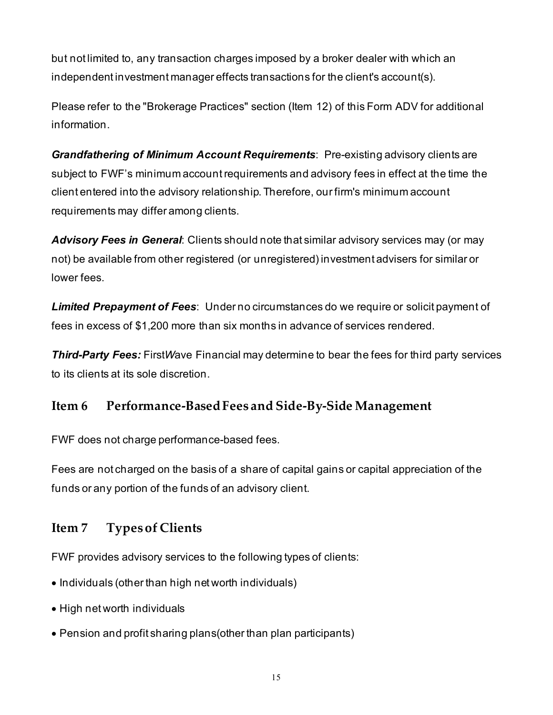but not limited to, any transaction charges imposed by a broker dealer with which an independent investment manager effects transactions for the client's account(s).

Please refer to the "Brokerage Practices" section (Item 12) of this Form ADV for additional information.

*Grandfathering of Minimum Account Requirements*: Pre-existing advisory clients are subject to FWF's minimum account requirements and advisory fees in effect at the time the client entered into the advisory relationship. Therefore, our firm's minimum account requirements may differ among clients.

*Advisory Fees in General*: Clients should note that similar advisory services may (or may not) be available from other registered (or unregistered) investment advisers for similar or lower fees.

*Limited Prepayment of Fees*: Under no circumstances do we require or solicit payment of fees in excess of \$1,200 more than six months in advance of services rendered.

*Third-Party Fees:* First*W*ave Financial may determine to bear the fees for third party services to its clients at its sole discretion.

# **Item 6 Performance-Based Fees and Side-By-Side Management**

FWF does not charge performance-based fees.

Fees are not charged on the basis of a share of capital gains or capital appreciation of the funds or any portion of the funds of an advisory client.

# **Item 7 Types of Clients**

FWF provides advisory services to the following types of clients:

- Individuals (other than high net worth individuals)
- High net worth individuals
- Pension and profit sharing plans(other than plan participants)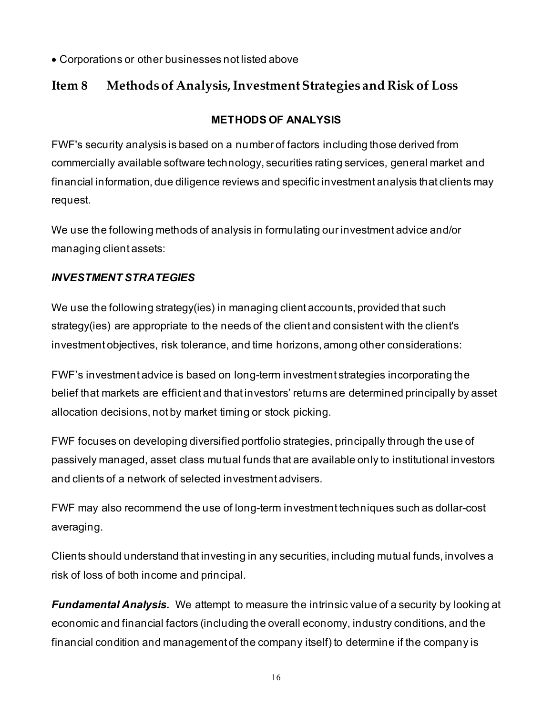• Corporations or other businesses not listed above

# **Item 8 Methods of Analysis, Investment Strategies and Risk of Loss**

## **METHODS OF ANALYSIS**

FWF's security analysis is based on a number of factors including those derived from commercially available software technology, securities rating services, general market and financial information, due diligence reviews and specific investment analysis that clients may request.

We use the following methods of analysis in formulating our investment advice and/or managing client assets:

## *INVESTMENT STRATEGIES*

We use the following strategy(ies) in managing client accounts, provided that such strategy(ies) are appropriate to the needs of the client and consistent with the client's investment objectives, risk tolerance, and time horizons, among other considerations:

FWF's investment advice is based on long-term investment strategies incorporating the belief that markets are efficient and that investors' returns are determined principally by asset allocation decisions, not by market timing or stock picking.

FWF focuses on developing diversified portfolio strategies, principally through the use of passively managed, asset class mutual funds that are available only to institutional investors and clients of a network of selected investment advisers.

FWF may also recommend the use of long-term investment techniques such as dollar-cost averaging.

Clients should understand that investing in any securities, including mutual funds, involves a risk of loss of both income and principal.

*Fundamental Analysis.* We attempt to measure the intrinsic value of a security by looking at economic and financial factors (including the overall economy, industry conditions, and the financial condition and management of the company itself) to determine if the company is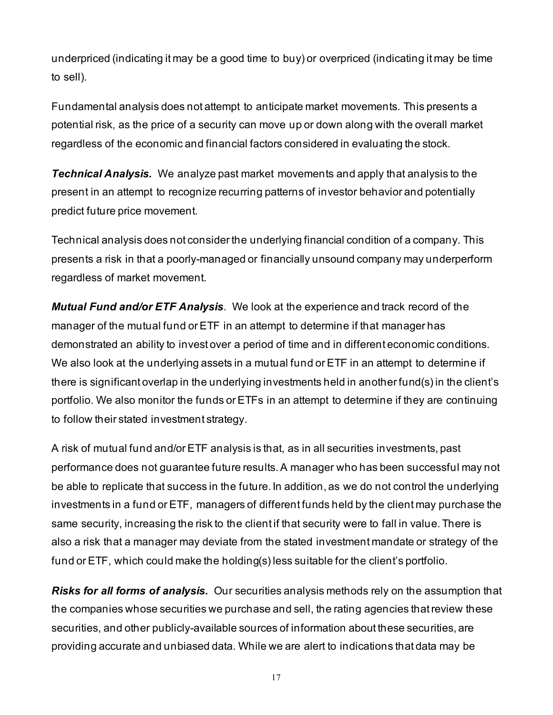underpriced (indicating it may be a good time to buy) or overpriced (indicating it may be time to sell).

Fundamental analysis does not attempt to anticipate market movements. This presents a potential risk, as the price of a security can move up or down along with the overall market regardless of the economic and financial factors considered in evaluating the stock.

*Technical Analysis.* We analyze past market movements and apply that analysis to the present in an attempt to recognize recurring patterns of investor behavior and potentially predict future price movement.

Technical analysis does not consider the underlying financial condition of a company. This presents a risk in that a poorly-managed or financially unsound company may underperform regardless of market movement.

*Mutual Fund and/or ETF Analysis*. We look at the experience and track record of the manager of the mutual fund or ETF in an attempt to determine if that manager has demonstrated an ability to invest over a period of time and in different economic conditions. We also look at the underlying assets in a mutual fund or ETF in an attempt to determine if there is significant overlap in the underlying investments held in another fund(s) in the client's portfolio. We also monitor the funds or ETFs in an attempt to determine if they are continuing to follow their stated investment strategy.

A risk of mutual fund and/or ETF analysis is that, as in all securities investments, past performance does not guarantee future results. A manager who has been successful may not be able to replicate that success in the future. In addition, as we do not control the underlying investments in a fund or ETF, managers of different funds held by the client may purchase the same security, increasing the risk to the client if that security were to fall in value. There is also a risk that a manager may deviate from the stated investment mandate or strategy of the fund or ETF, which could make the holding(s) less suitable for the client's portfolio.

*Risks for all forms of analysis.* Our securities analysis methods rely on the assumption that the companies whose securities we purchase and sell, the rating agencies that review these securities, and other publicly-available sources of information about these securities, are providing accurate and unbiased data. While we are alert to indications that data may be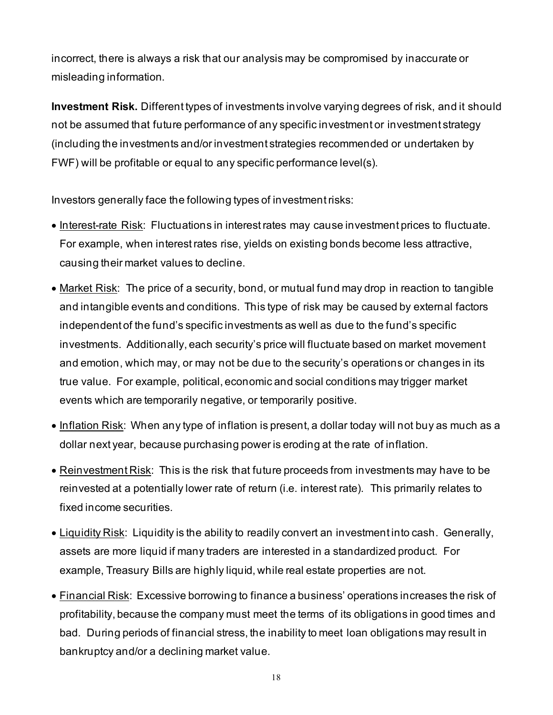incorrect, there is always a risk that our analysis may be compromised by inaccurate or misleading information.

**Investment Risk.** Different types of investments involve varying degrees of risk, and it should not be assumed that future performance of any specific investment or investment strategy (including the investments and/or investment strategies recommended or undertaken by FWF) will be profitable or equal to any specific performance level(s).

Investors generally face the following types of investment risks:

- Interest-rate Risk: Fluctuations in interest rates may cause investment prices to fluctuate. For example, when interest rates rise, yields on existing bonds become less attractive, causing their market values to decline.
- Market Risk: The price of a security, bond, or mutual fund may drop in reaction to tangible and intangible events and conditions. This type of risk may be caused by external factors independent of the fund's specific investments as well as due to the fund's specific investments. Additionally, each security's price will fluctuate based on market movement and emotion, which may, or may not be due to the security's operations or changes in its true value. For example, political, economic and social conditions may trigger market events which are temporarily negative, or temporarily positive.
- Inflation Risk: When any type of inflation is present, a dollar today will not buy as much as a dollar next year, because purchasing power is eroding at the rate of inflation.
- Reinvestment Risk: This is the risk that future proceeds from investments may have to be reinvested at a potentially lower rate of return (i.e. interest rate). This primarily relates to fixed income securities.
- Liquidity Risk: Liquidity is the ability to readily convert an investment into cash. Generally, assets are more liquid if many traders are interested in a standardized product. For example, Treasury Bills are highly liquid, while real estate properties are not.
- Financial Risk: Excessive borrowing to finance a business' operations increases the risk of profitability, because the company must meet the terms of its obligations in good times and bad. During periods of financial stress, the inability to meet loan obligations may result in bankruptcy and/or a declining market value.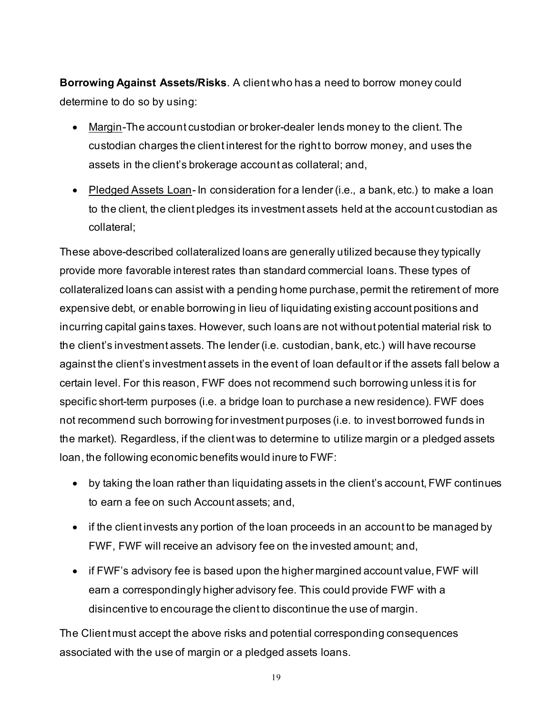**Borrowing Against Assets/Risks**. A client who has a need to borrow money could determine to do so by using:

- Margin-The account custodian or broker-dealer lends money to the client. The custodian charges the client interest for the right to borrow money, and uses the assets in the client's brokerage account as collateral; and,
- Pledged Assets Loan- In consideration for a lender (i.e., a bank, etc.) to make a loan to the client, the client pledges its investment assets held at the account custodian as collateral;

These above-described collateralized loans are generally utilized because they typically provide more favorable interest rates than standard commercial loans. These types of collateralized loans can assist with a pending home purchase, permit the retirement of more expensive debt, or enable borrowing in lieu of liquidating existing account positions and incurring capital gains taxes. However, such loans are not without potential material risk to the client's investment assets. The lender (i.e. custodian, bank, etc.) will have recourse against the client's investment assets in the event of loan default or if the assets fall below a certain level. For this reason, FWF does not recommend such borrowing unless it is for specific short-term purposes (i.e. a bridge loan to purchase a new residence). FWF does not recommend such borrowing for investment purposes (i.e. to invest borrowed funds in the market). Regardless, if the client was to determine to utilize margin or a pledged assets loan, the following economic benefits would inure to FWF:

- by taking the loan rather than liquidating assets in the client's account, FWF continues to earn a fee on such Account assets; and,
- if the client invests any portion of the loan proceeds in an account to be managed by FWF, FWF will receive an advisory fee on the invested amount; and,
- if FWF's advisory fee is based upon the higher margined account value, FWF will earn a correspondingly higher advisory fee. This could provide FWF with a disincentive to encourage the client to discontinue the use of margin.

The Client must accept the above risks and potential corresponding consequences associated with the use of margin or a pledged assets loans.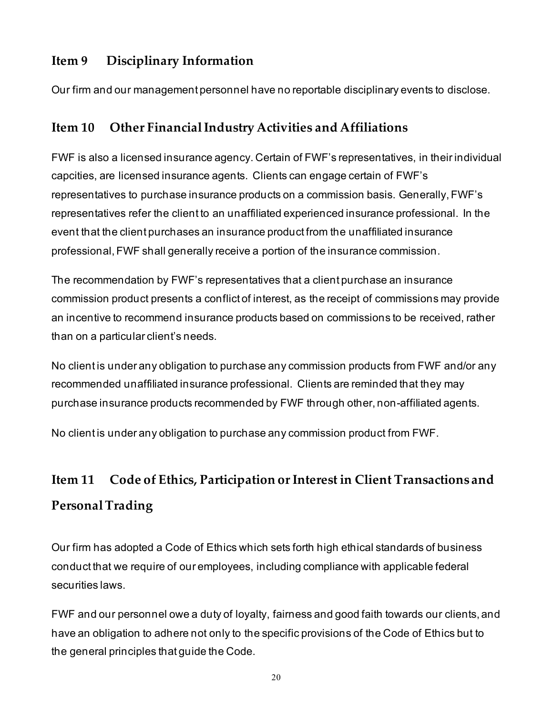# **Item 9 Disciplinary Information**

Our firm and our management personnel have no reportable disciplinary events to disclose.

# **Item 10 Other Financial Industry Activities and Affiliations**

FWF is also a licensed insurance agency. Certain of FWF's representatives, in their individual capcities, are licensed insurance agents. Clients can engage certain of FWF's representatives to purchase insurance products on a commission basis. Generally, FWF's representatives refer the client to an unaffiliated experienced insurance professional. In the event that the client purchases an insurance product from the unaffiliated insurance professional, FWF shall generally receive a portion of the insurance commission.

The recommendation by FWF's representatives that a client purchase an insurance commission product presents a conflict of interest, as the receipt of commissions may provide an incentive to recommend insurance products based on commissions to be received, rather than on a particular client's needs.

No client is under any obligation to purchase any commission products from FWF and/or any recommended unaffiliated insurance professional. Clients are reminded that they may purchase insurance products recommended by FWF through other, non-affiliated agents.

No client is under any obligation to purchase any commission product from FWF.

# **Item 11 Code of Ethics, Participation or Interest in Client Transactions and Personal Trading**

Our firm has adopted a Code of Ethics which sets forth high ethical standards of business conduct that we require of our employees, including compliance with applicable federal securities laws.

FWF and our personnel owe a duty of loyalty, fairness and good faith towards our clients, and have an obligation to adhere not only to the specific provisions of the Code of Ethics but to the general principles that guide the Code.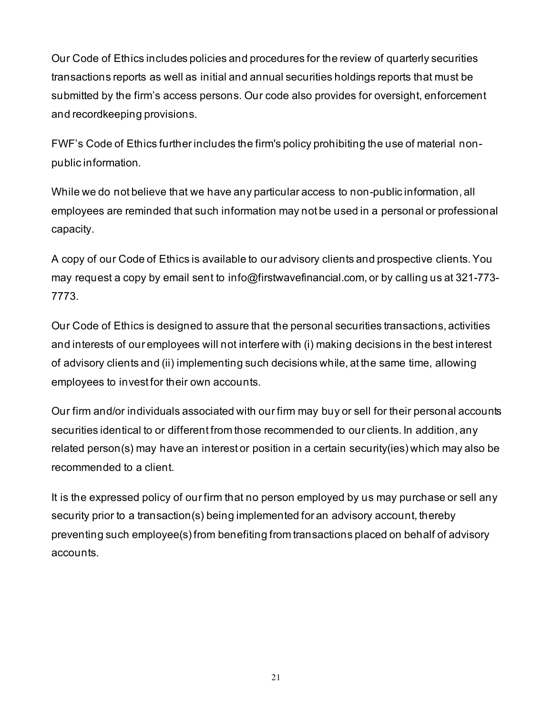Our Code of Ethics includes policies and procedures for the review of quarterly securities transactions reports as well as initial and annual securities holdings reports that must be submitted by the firm's access persons. Our code also provides for oversight, enforcement and recordkeeping provisions.

FWF's Code of Ethics further includes the firm's policy prohibiting the use of material nonpublic information.

While we do not believe that we have any particular access to non-public information, all employees are reminded that such information may not be used in a personal or professional capacity.

A copy of our Code of Ethics is available to our advisory clients and prospective clients. You may request a copy by email sent to info@firstwavefinancial.com, or by calling us at 321-773- 7773.

Our Code of Ethics is designed to assure that the personal securities transactions, activities and interests of our employees will not interfere with (i) making decisions in the best interest of advisory clients and (ii) implementing such decisions while, at the same time, allowing employees to invest for their own accounts.

Our firm and/or individuals associated with our firm may buy or sell for their personal accounts securities identical to or different from those recommended to our clients. In addition, any related person(s) may have an interest or position in a certain security(ies) which may also be recommended to a client.

It is the expressed policy of our firm that no person employed by us may purchase or sell any security prior to a transaction(s) being implemented for an advisory account, thereby preventing such employee(s) from benefiting from transactions placed on behalf of advisory accounts.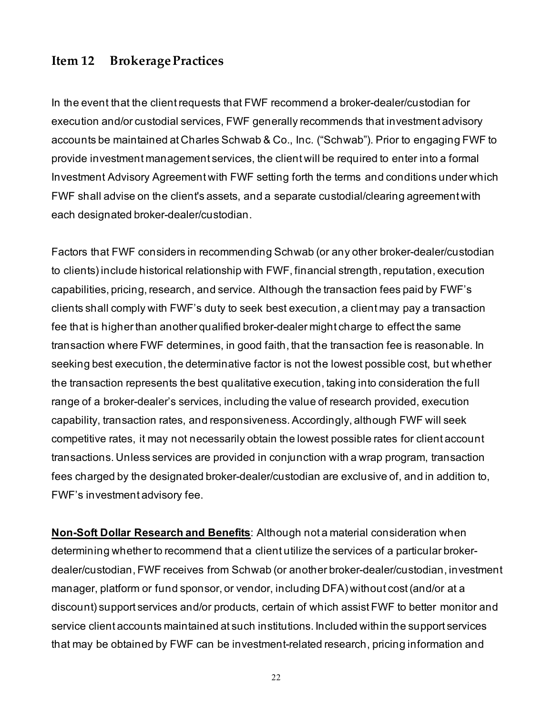## **Item 12 Brokerage Practices**

In the event that the client requests that FWF recommend a broker-dealer/custodian for execution and/or custodial services, FWF generally recommends that investment advisory accounts be maintained at Charles Schwab & Co., Inc. ("Schwab"). Prior to engaging FWF to provide investment management services, the client will be required to enter into a formal Investment Advisory Agreement with FWF setting forth the terms and conditions under which FWF shall advise on the client's assets, and a separate custodial/clearing agreement with each designated broker-dealer/custodian.

Factors that FWF considers in recommending Schwab (or any other broker-dealer/custodian to clients) include historical relationship with FWF, financial strength, reputation, execution capabilities, pricing, research, and service. Although the transaction fees paid by FWF's clients shall comply with FWF's duty to seek best execution, a client may pay a transaction fee that is higher than another qualified broker-dealer might charge to effect the same transaction where FWF determines, in good faith, that the transaction fee is reasonable. In seeking best execution, the determinative factor is not the lowest possible cost, but whether the transaction represents the best qualitative execution, taking into consideration the full range of a broker-dealer's services, including the value of research provided, execution capability, transaction rates, and responsiveness. Accordingly, although FWF will seek competitive rates, it may not necessarily obtain the lowest possible rates for client account transactions. Unless services are provided in conjunction with a wrap program, transaction fees charged by the designated broker-dealer/custodian are exclusive of, and in addition to, FWF's investment advisory fee.

**Non-Soft Dollar Research and Benefits**: Although not a material consideration when determining whether to recommend that a client utilize the services of a particular brokerdealer/custodian, FWF receives from Schwab (or another broker-dealer/custodian, investment manager, platform or fund sponsor, or vendor, including DFA) without cost (and/or at a discount) support services and/or products, certain of which assist FWF to better monitor and service client accounts maintained at such institutions. Included within the support services that may be obtained by FWF can be investment-related research, pricing information and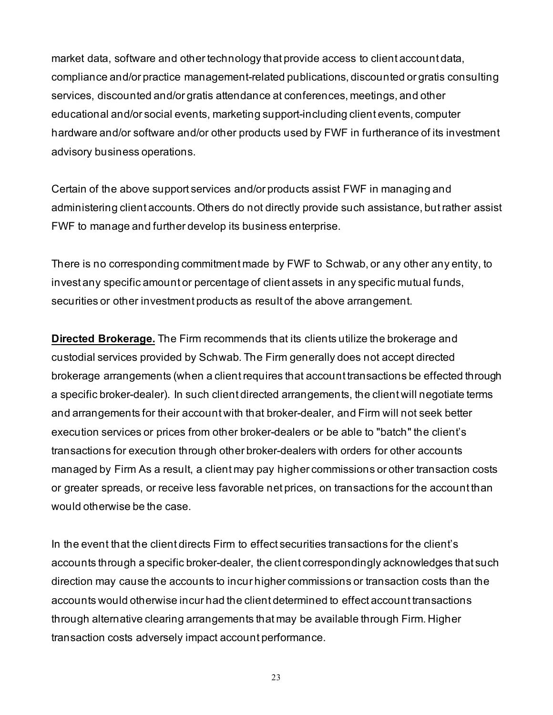market data, software and other technology that provide access to client account data, compliance and/or practice management-related publications, discounted or gratis consulting services, discounted and/or gratis attendance at conferences, meetings, and other educational and/or social events, marketing support-including client events, computer hardware and/or software and/or other products used by FWF in furtherance of its investment advisory business operations.

Certain of the above support services and/or products assist FWF in managing and administering client accounts. Others do not directly provide such assistance, but rather assist FWF to manage and further develop its business enterprise.

There is no corresponding commitment made by FWF to Schwab, or any other any entity, to invest any specific amount or percentage of client assets in any specific mutual funds, securities or other investment products as result of the above arrangement.

**Directed Brokerage.** The Firm recommends that its clients utilize the brokerage and custodial services provided by Schwab*.* The Firm generally does not accept directed brokerage arrangements (when a client requires that account transactions be effected through a specific broker-dealer). In such client directed arrangements, the client will negotiate terms and arrangements for their account with that broker-dealer, and Firm will not seek better execution services or prices from other broker-dealers or be able to "batch" the client's transactions for execution through other broker-dealers with orders for other accounts managed by Firm As a result, a client may pay higher commissions or other transaction costs or greater spreads, or receive less favorable net prices, on transactions for the account than would otherwise be the case.

In the event that the client directs Firm to effect securities transactions for the client's accounts through a specific broker-dealer, the client correspondingly acknowledges that such direction may cause the accounts to incur higher commissions or transaction costs than the accounts would otherwise incur had the client determined to effect account transactions through alternative clearing arrangements that may be available through Firm. Higher transaction costs adversely impact account performance.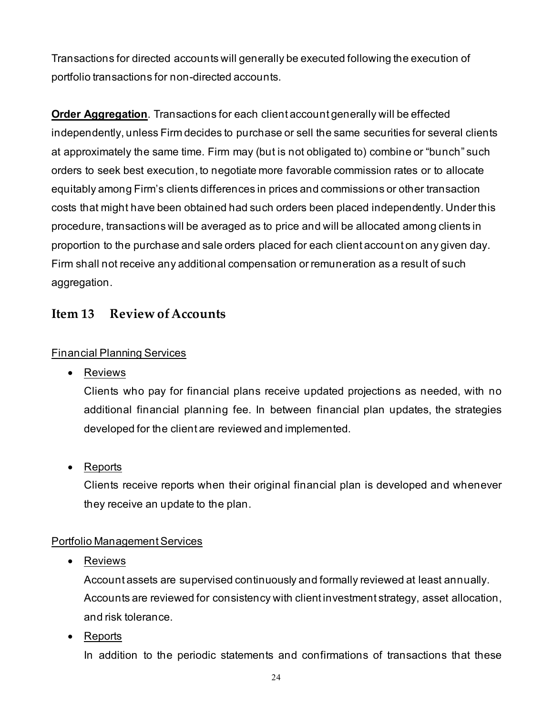Transactions for directed accounts will generally be executed following the execution of portfolio transactions for non-directed accounts.

**Order Aggregation**. Transactions for each client account generally will be effected independently, unless Firm decides to purchase or sell the same securities for several clients at approximately the same time. Firm may (but is not obligated to) combine or "bunch" such orders to seek best execution, to negotiate more favorable commission rates or to allocate equitably among Firm's clients differences in prices and commissions or other transaction costs that might have been obtained had such orders been placed independently. Under this procedure, transactions will be averaged as to price and will be allocated among clients in proportion to the purchase and sale orders placed for each client account on any given day. Firm shall not receive any additional compensation or remuneration as a result of such aggregation.

## **Item 13 Review of Accounts**

#### Financial Planning Services

• Reviews

Clients who pay for financial plans receive updated projections as needed, with no additional financial planning fee. In between financial plan updates, the strategies developed for the client are reviewed and implemented.

• Reports

Clients receive reports when their original financial plan is developed and whenever they receive an update to the plan.

#### Portfolio Management Services

• Reviews

Account assets are supervised continuously and formally reviewed at least annually. Accounts are reviewed for consistency with client investment strategy, asset allocation, and risk tolerance.

• Reports

In addition to the periodic statements and confirmations of transactions that these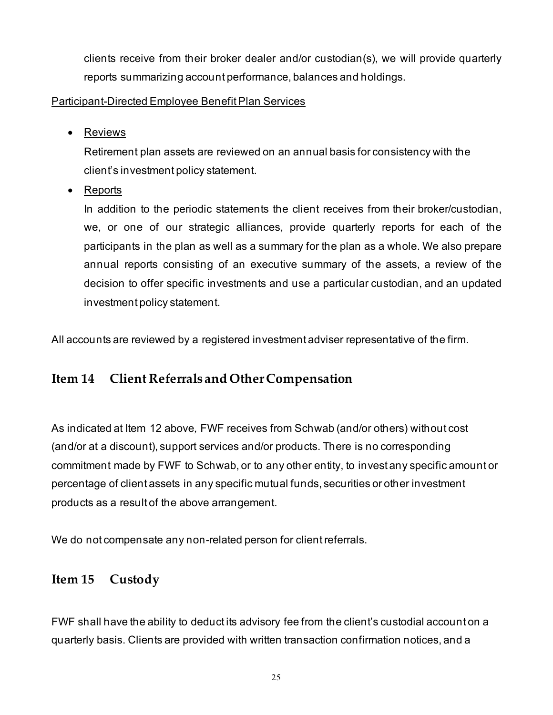clients receive from their broker dealer and/or custodian(s), we will provide quarterly reports summarizing account performance, balances and holdings.

#### Participant-Directed Employee Benefit Plan Services

• Reviews

Retirement plan assets are reviewed on an annual basis for consistency with the client's investment policy statement.

• Reports

In addition to the periodic statements the client receives from their broker/custodian, we, or one of our strategic alliances, provide quarterly reports for each of the participants in the plan as well as a summary for the plan as a whole. We also prepare annual reports consisting of an executive summary of the assets, a review of the decision to offer specific investments and use a particular custodian, and an updated investment policy statement.

All accounts are reviewed by a registered investment adviser representative of the firm.

# **Item 14 Client Referrals and Other Compensation**

As indicated at Item 12 above*,* FWF receives from Schwab (and/or others) without cost (and/or at a discount), support services and/or products. There is no corresponding commitment made by FWF to Schwab, or to any other entity, to invest any specific amount or percentage of client assets in any specific mutual funds, securities or other investment products as a result of the above arrangement.

We do not compensate any non-related person for client referrals.

# **Item 15 Custody**

FWF shall have the ability to deduct its advisory fee from the client's custodial account on a quarterly basis. Clients are provided with written transaction confirmation notices, and a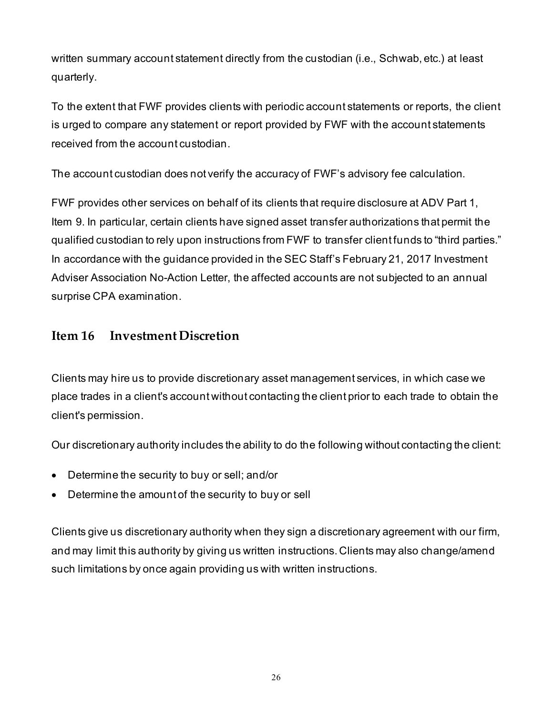written summary account statement directly from the custodian (i.e., Schwab, etc.) at least quarterly.

To the extent that FWF provides clients with periodic account statements or reports, the client is urged to compare any statement or report provided by FWF with the account statements received from the account custodian.

The account custodian does not verify the accuracy of FWF's advisory fee calculation.

FWF provides other services on behalf of its clients that require disclosure at ADV Part 1, Item 9. In particular, certain clients have signed asset transfer authorizations that permit the qualified custodian to rely upon instructions from FWF to transfer client funds to "third parties." In accordance with the guidance provided in the SEC Staff's February 21, 2017 Investment Adviser Association No-Action Letter, the affected accounts are not subjected to an annual surprise CPA examination.

# **Item 16 Investment Discretion**

Clients may hire us to provide discretionary asset management services, in which case we place trades in a client's account without contacting the client prior to each trade to obtain the client's permission.

Our discretionary authority includes the ability to do the following without contacting the client:

- Determine the security to buy or sell; and/or
- Determine the amount of the security to buy or sell

Clients give us discretionary authority when they sign a discretionary agreement with our firm, and may limit this authority by giving us written instructions. Clients may also change/amend such limitations by once again providing us with written instructions.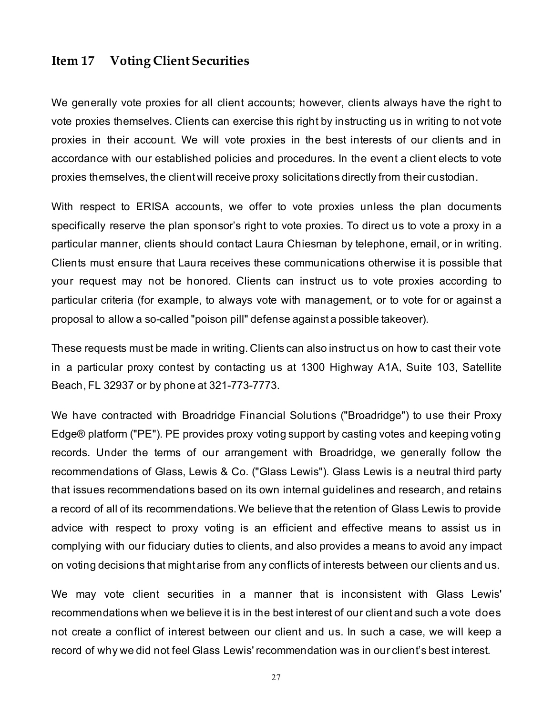### **Item 17 Voting Client Securities**

We generally vote proxies for all client accounts; however, clients always have the right to vote proxies themselves. Clients can exercise this right by instructing us in writing to not vote proxies in their account. We will vote proxies in the best interests of our clients and in accordance with our established policies and procedures. In the event a client elects to vote proxies themselves, the client will receive proxy solicitations directly from their custodian.

With respect to ERISA accounts, we offer to vote proxies unless the plan documents specifically reserve the plan sponsor's right to vote proxies. To direct us to vote a proxy in a particular manner, clients should contact Laura Chiesman by telephone, email, or in writing. Clients must ensure that Laura receives these communications otherwise it is possible that your request may not be honored. Clients can instruct us to vote proxies according to particular criteria (for example, to always vote with management, or to vote for or against a proposal to allow a so-called "poison pill" defense against a possible takeover).

These requests must be made in writing. Clients can also instruct us on how to cast their vote in a particular proxy contest by contacting us at 1300 Highway A1A, Suite 103, Satellite Beach, FL 32937 or by phone at 321-773-7773.

We have contracted with Broadridge Financial Solutions ("Broadridge") to use their Proxy Edge® platform ("PE"). PE provides proxy voting support by casting votes and keeping voting records. Under the terms of our arrangement with Broadridge, we generally follow the recommendations of Glass, Lewis & Co. ("Glass Lewis"). Glass Lewis is a neutral third party that issues recommendations based on its own internal guidelines and research, and retains a record of all of its recommendations. We believe that the retention of Glass Lewis to provide advice with respect to proxy voting is an efficient and effective means to assist us in complying with our fiduciary duties to clients, and also provides a means to avoid any impact on voting decisions that might arise from any conflicts of interests between our clients and us.

We may vote client securities in a manner that is inconsistent with Glass Lewis' recommendations when we believe it is in the best interest of our client and such a vote does not create a conflict of interest between our client and us. In such a case, we will keep a record of why we did not feel Glass Lewis' recommendation was in our client's best interest.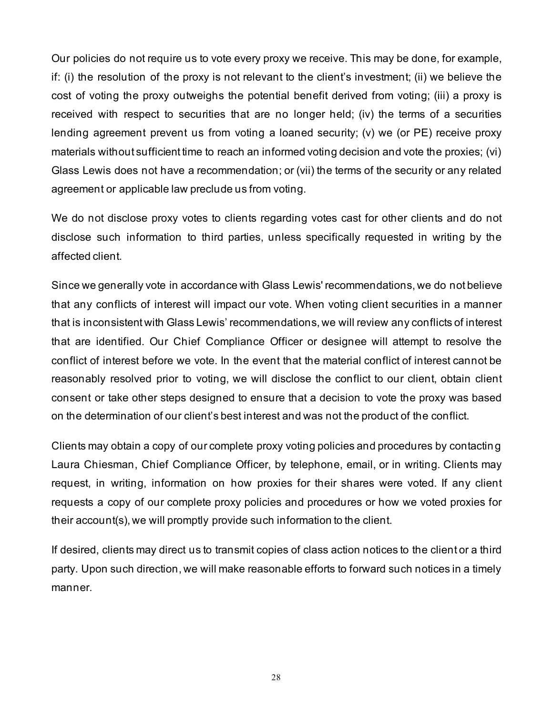Our policies do not require us to vote every proxy we receive. This may be done, for example, if: (i) the resolution of the proxy is not relevant to the client's investment; (ii) we believe the cost of voting the proxy outweighs the potential benefit derived from voting; (iii) a proxy is received with respect to securities that are no longer held; (iv) the terms of a securities lending agreement prevent us from voting a loaned security; (v) we (or PE) receive proxy materials without sufficient time to reach an informed voting decision and vote the proxies; (vi) Glass Lewis does not have a recommendation; or (vii) the terms of the security or any related agreement or applicable law preclude us from voting.

We do not disclose proxy votes to clients regarding votes cast for other clients and do not disclose such information to third parties, unless specifically requested in writing by the affected client.

Since we generally vote in accordance with Glass Lewis' recommendations, we do not believe that any conflicts of interest will impact our vote. When voting client securities in a manner that is inconsistent with Glass Lewis' recommendations, we will review any conflicts of interest that are identified. Our Chief Compliance Officer or designee will attempt to resolve the conflict of interest before we vote. In the event that the material conflict of interest cannot be reasonably resolved prior to voting, we will disclose the conflict to our client, obtain client consent or take other steps designed to ensure that a decision to vote the proxy was based on the determination of our client's best interest and was not the product of the conflict.

Clients may obtain a copy of our complete proxy voting policies and procedures by contacting Laura Chiesman, Chief Compliance Officer, by telephone, email, or in writing. Clients may request, in writing, information on how proxies for their shares were voted. If any client requests a copy of our complete proxy policies and procedures or how we voted proxies for their account(s), we will promptly provide such information to the client.

If desired, clients may direct us to transmit copies of class action notices to the client or a third party. Upon such direction, we will make reasonable efforts to forward such notices in a timely manner.